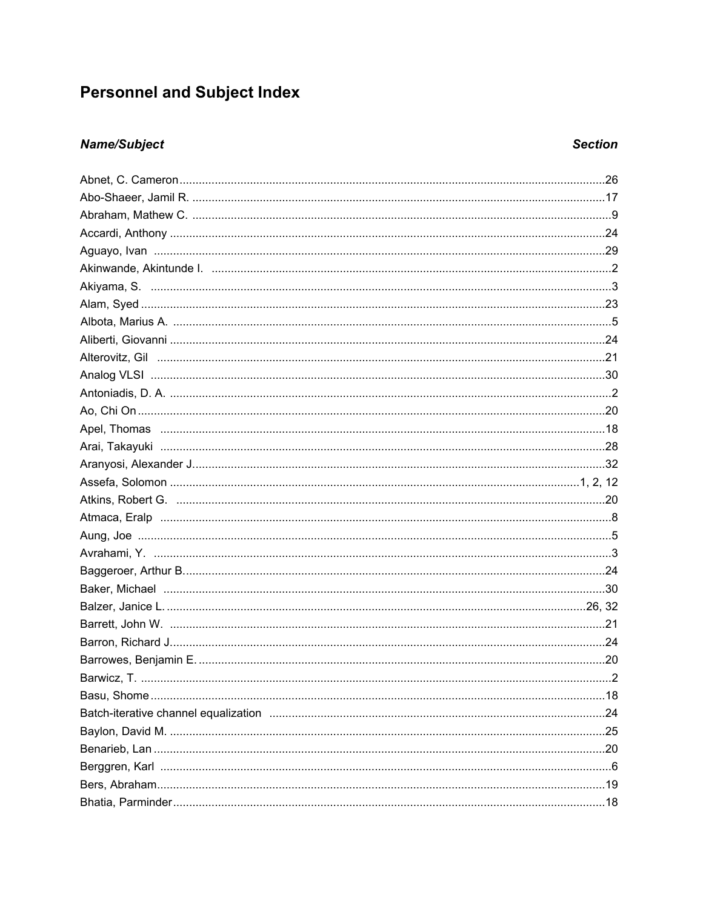# **Personnel and Subject Index**

### **Name/Subject**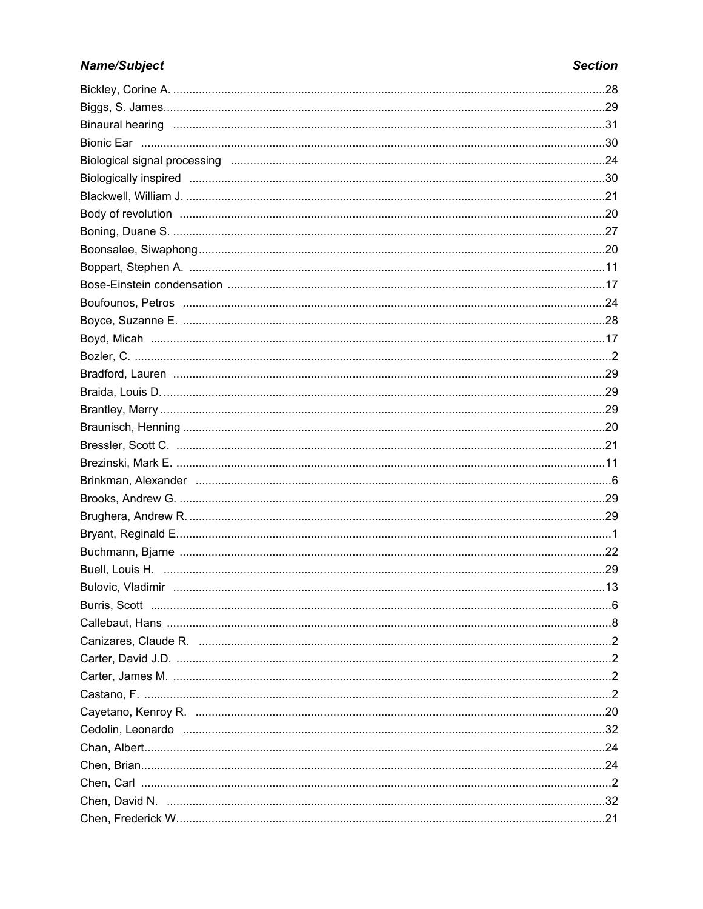| Binaural hearing members and the control of the control of the control of the control of the control of the control of the control of the control of the control of the control of the control of the control of the control o |  |
|--------------------------------------------------------------------------------------------------------------------------------------------------------------------------------------------------------------------------------|--|
|                                                                                                                                                                                                                                |  |
|                                                                                                                                                                                                                                |  |
| Biologically inspired measurements are constructed as a series of the series of the series of the series of th                                                                                                                 |  |
|                                                                                                                                                                                                                                |  |
|                                                                                                                                                                                                                                |  |
|                                                                                                                                                                                                                                |  |
|                                                                                                                                                                                                                                |  |
|                                                                                                                                                                                                                                |  |
|                                                                                                                                                                                                                                |  |
|                                                                                                                                                                                                                                |  |
|                                                                                                                                                                                                                                |  |
|                                                                                                                                                                                                                                |  |
|                                                                                                                                                                                                                                |  |
|                                                                                                                                                                                                                                |  |
|                                                                                                                                                                                                                                |  |
|                                                                                                                                                                                                                                |  |
|                                                                                                                                                                                                                                |  |
|                                                                                                                                                                                                                                |  |
|                                                                                                                                                                                                                                |  |
|                                                                                                                                                                                                                                |  |
|                                                                                                                                                                                                                                |  |
|                                                                                                                                                                                                                                |  |
|                                                                                                                                                                                                                                |  |
|                                                                                                                                                                                                                                |  |
|                                                                                                                                                                                                                                |  |
|                                                                                                                                                                                                                                |  |
|                                                                                                                                                                                                                                |  |
|                                                                                                                                                                                                                                |  |
| Canizares, Claude R. manufactures and content and control and Renormal Canizares, Claude R. manufactures and c                                                                                                                 |  |
|                                                                                                                                                                                                                                |  |
|                                                                                                                                                                                                                                |  |
|                                                                                                                                                                                                                                |  |
|                                                                                                                                                                                                                                |  |
|                                                                                                                                                                                                                                |  |
|                                                                                                                                                                                                                                |  |
|                                                                                                                                                                                                                                |  |
|                                                                                                                                                                                                                                |  |
|                                                                                                                                                                                                                                |  |
|                                                                                                                                                                                                                                |  |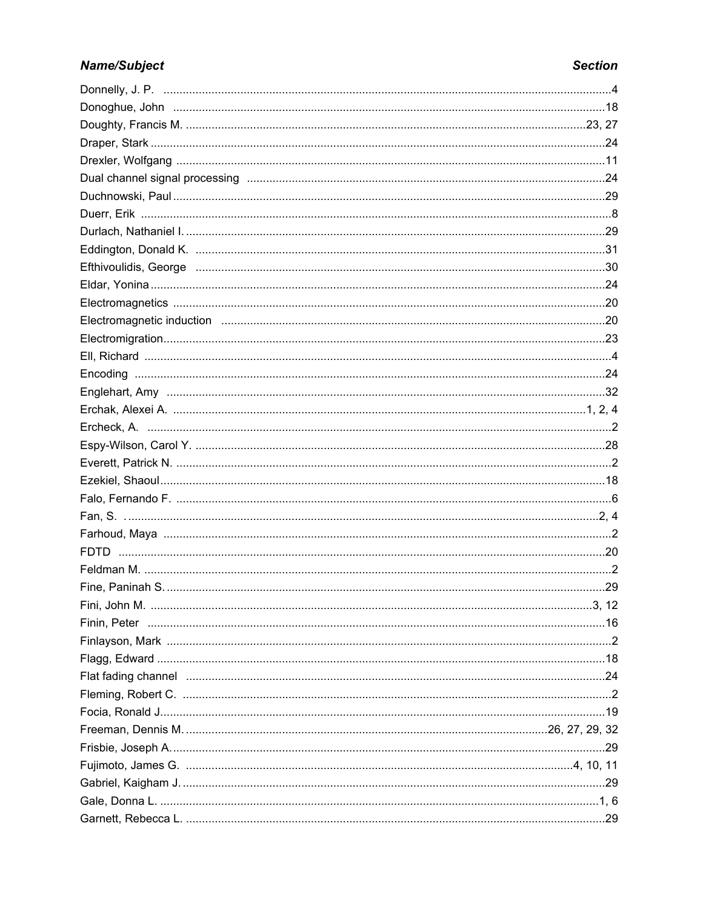| Electromagnetic induction members and content and content and content and content and content and content and content and content and content and content and content and content and content and content and content and cont |  |
|--------------------------------------------------------------------------------------------------------------------------------------------------------------------------------------------------------------------------------|--|
|                                                                                                                                                                                                                                |  |
|                                                                                                                                                                                                                                |  |
|                                                                                                                                                                                                                                |  |
|                                                                                                                                                                                                                                |  |
|                                                                                                                                                                                                                                |  |
|                                                                                                                                                                                                                                |  |
|                                                                                                                                                                                                                                |  |
|                                                                                                                                                                                                                                |  |
|                                                                                                                                                                                                                                |  |
|                                                                                                                                                                                                                                |  |
|                                                                                                                                                                                                                                |  |
|                                                                                                                                                                                                                                |  |
|                                                                                                                                                                                                                                |  |
|                                                                                                                                                                                                                                |  |
|                                                                                                                                                                                                                                |  |
|                                                                                                                                                                                                                                |  |
|                                                                                                                                                                                                                                |  |
|                                                                                                                                                                                                                                |  |
|                                                                                                                                                                                                                                |  |
| Flat fading channel members and continuum contracts and all the contracts of a set of a set of a set of a set o                                                                                                                |  |
|                                                                                                                                                                                                                                |  |
|                                                                                                                                                                                                                                |  |
|                                                                                                                                                                                                                                |  |
|                                                                                                                                                                                                                                |  |
|                                                                                                                                                                                                                                |  |
|                                                                                                                                                                                                                                |  |
|                                                                                                                                                                                                                                |  |
|                                                                                                                                                                                                                                |  |